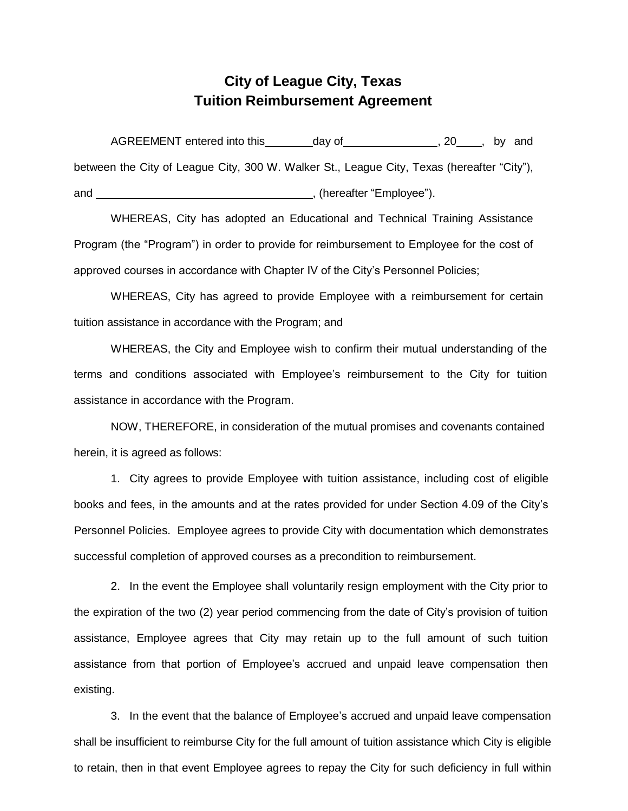## **City of League City, Texas Tuition Reimbursement Agreement**

AGREEMENT entered into this \_\_\_\_\_\_\_\_ day of \_\_\_\_\_\_\_\_\_\_\_\_\_\_\_\_, 20 \_\_\_\_, by and between the City of League City, 300 W. Walker St., League City, Texas (hereafter "City"), and and the contract of the contract of the contract of the contract of the contract of the contract of the contract of the contract of the contract of the contract of the contract of the contract of the contract of the co

WHEREAS, City has adopted an Educational and Technical Training Assistance Program (the "Program") in order to provide for reimbursement to Employee for the cost of approved courses in accordance with Chapter IV of the City's Personnel Policies;

WHEREAS, City has agreed to provide Employee with a reimbursement for certain tuition assistance in accordance with the Program; and

WHEREAS, the City and Employee wish to confirm their mutual understanding of the terms and conditions associated with Employee's reimbursement to the City for tuition assistance in accordance with the Program.

NOW, THEREFORE, in consideration of the mutual promises and covenants contained herein, it is agreed as follows:

1. City agrees to provide Employee with tuition assistance, including cost of eligible books and fees, in the amounts and at the rates provided for under Section 4.09 of the City's Personnel Policies. Employee agrees to provide City with documentation which demonstrates successful completion of approved courses as a precondition to reimbursement.

2. In the event the Employee shall voluntarily resign employment with the City prior to the expiration of the two (2) year period commencing from the date of City's provision of tuition assistance, Employee agrees that City may retain up to the full amount of such tuition assistance from that portion of Employee's accrued and unpaid leave compensation then existing.

3. In the event that the balance of Employee's accrued and unpaid leave compensation shall be insufficient to reimburse City for the full amount of tuition assistance which City is eligible to retain, then in that event Employee agrees to repay the City for such deficiency in full within